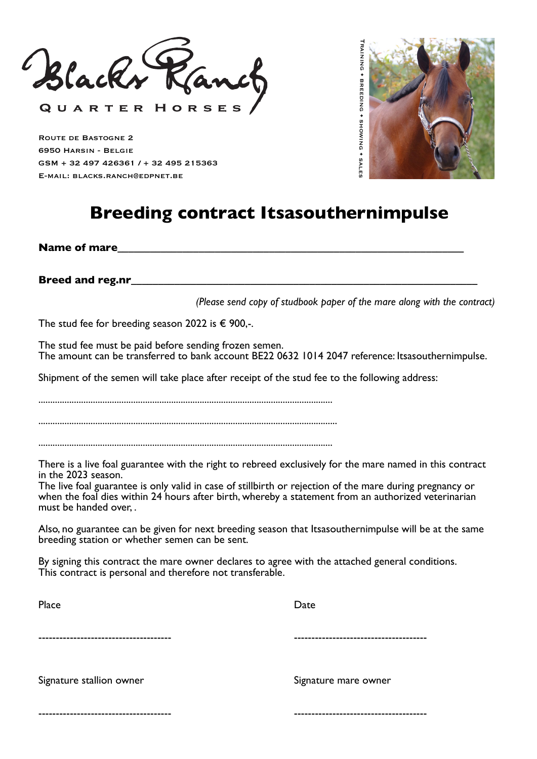Black

QUARTER HORSES

Route de Bastogne 2 6950 Harsin - Belgie GSM + 32 497 426361 / + 32 495 215363 E-mail: blacks.ranch@edpnet.be



## **Breeding contract Itsasouthernimpulse**

Name of mare

**Breed and reg.nr** 

*(Please send copy of studbook paper of the mare along with the contract)*

The stud fee for breeding season 2022 is  $\epsilon$  900,-.

The stud fee must be paid before sending frozen semen. The amount can be transferred to bank account BE22 0632 1014 2047 reference: Itsasouthernimpulse.

Shipment of the semen will take place after receipt of the stud fee to the following address:

............................................................................................................................

..............................................................................................................................

............................................................................................................................

There is a live foal guarantee with the right to rebreed exclusively for the mare named in this contract in the 2023 season.

The live foal guarantee is only valid in case of stillbirth or rejection of the mare during pregnancy or when the foal dies within 24 hours after birth, whereby a statement from an authorized veterinarian must be handed over, .

Also, no guarantee can be given for next breeding season that Itsasouthernimpulse will be at the same breeding station or whether semen can be sent.

By signing this contract the mare owner declares to agree with the attached general conditions. This contract is personal and therefore not transferable.

| Place                    | Date                 |
|--------------------------|----------------------|
|                          |                      |
| Signature stallion owner | Signature mare owner |
|                          |                      |